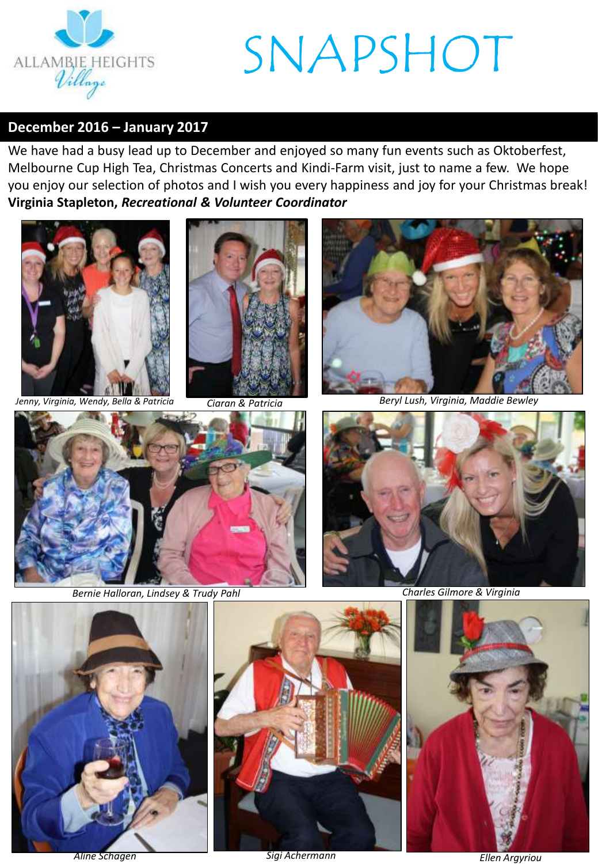

#### **December 2016 – January 2017**

We have had a busy lead up to December and enjoyed so many fun events such as Oktoberfest, Melbourne Cup High Tea, Christmas Concerts and Kindi-Farm visit, just to name a few. We hope you enjoy our selection of photos and I wish you every happiness and joy for your Christmas break! **Virginia Stapleton,** *Recreational & Volunteer Coordinator*





*Ciaran & Patricia*



*Jenny, Virginia, Wendy, Bella & Patricia Beryl Lush, Virginia, Maddie Bewley*



*Bernie Halloran, Lindsey & Trudy Pahl Charles Gilmore & Virginia*







*Sigi Achermann Aline Schagen Ellen Argyriou*

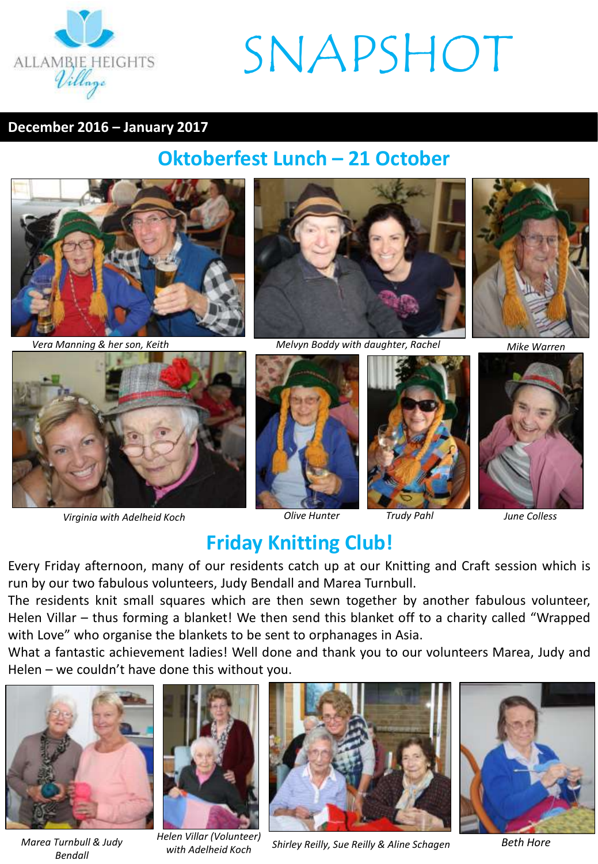

#### **December 2016 – January 2017**

### **Oktoberfest Lunch – 21 October**





*Virginia with Adelheid Koch Olive Hunter*



*Vera Manning & her son, Keith Melvyn Boddy with daughter, Rachel*







*Mike Warren*



### **Friday Knitting Club!**

Every Friday afternoon, many of our residents catch up at our Knitting and Craft session which is run by our two fabulous volunteers, Judy Bendall and Marea Turnbull.

The residents knit small squares which are then sewn together by another fabulous volunteer, Helen Villar – thus forming a blanket! We then send this blanket off to a charity called "Wrapped with Love" who organise the blankets to be sent to orphanages in Asia.

What a fantastic achievement ladies! Well done and thank you to our volunteers Marea, Judy and Helen – we couldn't have done this without you.



*Marea Turnbull & Judy Bendall*



*Shirley Reilly, Sue Reilly & Aline Schagen Beth Hore Helen Villar (Volunteer) with Adelheid Koch*



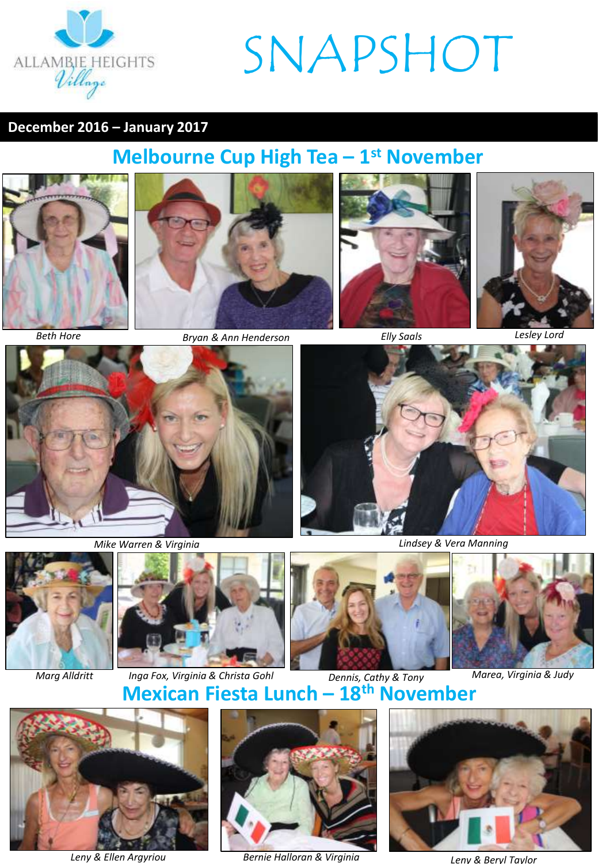

#### **December 2016 – January 2017**

### **Melbourne Cup High Tea – 1 st November**













*Mike Warren & Virginia Lindsey & Vera Manning*





**Mexican Fiesta Lunch — 18<sup>th</sup> November** *Marg Alldritt Inga Fox, Virginia & Christa Gohl Dennis, Cathy & Tony Marea, Virginia & Judy*





*Leny & Ellen Argyriou Bernie Halloran & Virginia Leny & Beryl Taylor*